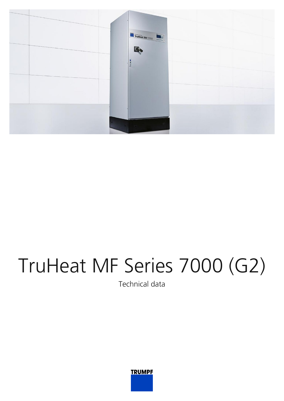

## TruHeat MF Series 7000 (G2)

Technical data

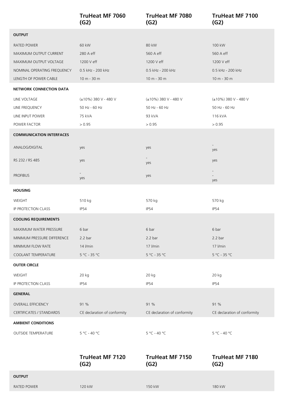|                                 | <b>TruHeat MF 7060</b><br>(G2) | <b>TruHeat MF 7080</b><br>(G2) | <b>TruHeat MF 7100</b><br>(G2)  |
|---------------------------------|--------------------------------|--------------------------------|---------------------------------|
| <b>OUTPUT</b>                   |                                |                                |                                 |
| RATED POWER                     | 60 kW                          | 80 kW                          | 100 kW                          |
| MAXIMUM OUTPUT CURRENT          | 280 A eff                      | 560 A eff                      | 560 A eff                       |
| MAXIMUM OUTPUT VOLTAGE          | 1200 V eff                     | 1200 V eff                     | 1200 V eff                      |
| NOMINAL OPERATING FREQUENCY     | 0.5 kHz - 200 kHz              | 0.5 kHz - 200 kHz              | 0.5 kHz - 200 kHz               |
| LENGTH OF POWER CABLE           | 10 m - 30 m                    | 10 m - 30 m                    | 10 m - 30 m                     |
| <b>NETWORK CONNECTION DATA</b>  |                                |                                |                                 |
| LINE VOLTAGE                    | (±10%) 380 V - 480 V           | (±10%) 380 V - 480 V           | (±10%) 380 V - 480 V            |
| LINE FREQUENCY                  | 50 Hz - 60 Hz                  | 50 Hz - 60 Hz                  | 50 Hz - 60 Hz                   |
| LINE INPUT POWER                | 75 kVA                         | 93 kVA                         | 116 kVA                         |
| POWER FACTOR                    | > 0.95                         | > 0.95                         | > 0.95                          |
| <b>COMMUNICATION INTERFACES</b> |                                |                                |                                 |
| ANALOG/DIGITAL                  | yes                            | yes                            | yes                             |
| RS 232 / RS 485                 | yes                            | yes                            | yes                             |
| <b>PROFIBUS</b>                 | yes                            | yes                            | $\overline{\phantom{a}}$<br>yes |
| <b>HOUSING</b>                  |                                |                                |                                 |
| WEIGHT                          | 510 kg                         | 570 kg                         | 570 kg                          |
| IP PROTECTION CLASS             | IP54                           | <b>IP54</b>                    | <b>IP54</b>                     |
| <b>COOLING REQUIREMENTS</b>     |                                |                                |                                 |
| <b>MAXIMUM WATER PRESSURE</b>   | 6 bar                          | 6 bar                          | 6 bar                           |
| MINIMUM PRESSURE DIFFERENCE     | 2.2 <sub>bar</sub>             | 2.2 <sub>bar</sub>             | 2.2 <sub>bar</sub>              |
| MINIMUM FLOW RATE               | 14 <i>l/min</i>                | 17 I/min                       | 17 l/min                        |
| COOLANT TEMPERATURE             | $5 °C - 35 °C$                 | $5 °C - 35 °C$                 | 5 °C - 35 °C                    |
| <b>OUTER CIRCLE</b>             |                                |                                |                                 |
| WEIGHT                          | 20 kg                          | 20 kg                          | 20 kg                           |
| IP PROTECTION CLASS             | IP54                           | <b>IP54</b>                    | <b>IP54</b>                     |
| <b>GENERAL</b>                  |                                |                                |                                 |
| <b>OVERALL EFFICIENCY</b>       | 91 %                           | 91 %                           | 91 %                            |
| CERTIFICATES / STANDARDS        | CE declaration of conformity   | CE declaration of conformity   | CE declaration of conformity    |
| <b>AMBIENT CONDITIONS</b>       |                                |                                |                                 |
| OUTSIDE TEMPERATURE             | $5 °C - 40 °C$                 | $5 °C - 40 °C$                 | 5 °C - 40 °C                    |
|                                 | <b>TruHeat MF 7120</b><br>(G2) | <b>TruHeat MF 7150</b><br>(G2) | <b>TruHeat MF 7180</b><br>(G2)  |
| <b>OUTPUT</b>                   |                                |                                |                                 |
| RATED POWER                     | 120 kW                         | 150 kW                         | 180 kW                          |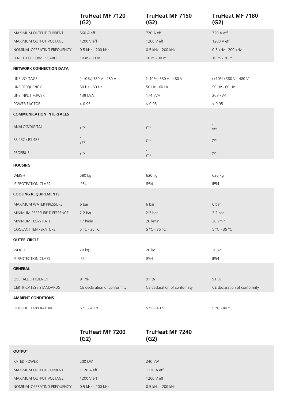|                                 | <b>TruHeat MF 7120</b><br>(G2) | <b>TruHeat MF 7150</b><br>(G2) | <b>TruHeat MF 7180</b><br>(G2) |
|---------------------------------|--------------------------------|--------------------------------|--------------------------------|
| MAXIMUM OUTPUT CURRENT          | 560 A eff                      | 720 A eff                      | 720 A eff                      |
| MAXIMUM OUTPUT VOLTAGE          | 1200 V eff                     | 1200 V eff                     | 1200 V eff                     |
| NOMINAL OPERATING FREQUENCY     | 0.5 kHz - 200 kHz              | 0.5 kHz - 200 kHz              | 0.5 kHz - 200 kHz              |
| LENGTH OF POWER CABLE           | $10 m - 30 m$                  | 10 m - 30 m                    | 10 m - 30 m                    |
| <b>NETWORK CONNECTION DATA</b>  |                                |                                |                                |
| LINE VOLTAGE                    | (±10%) 380 V - 480 V           | (±10%) 380 V - 480 V           | (±10%) 380 V - 480 V           |
| LINE FREQUENCY                  | 50 Hz - 60 Hz                  | 50 Hz - 60 Hz                  | 50 Hz - 60 Hz                  |
| LINE INPUT POWER                | 139 kVA                        | 174 kVA                        | 209 kVA                        |
| POWER FACTOR                    | > 0.95                         | > 0.95                         | > 0.95                         |
| <b>COMMUNICATION INTERFACES</b> |                                |                                |                                |
| ANALOG/DIGITAL                  | yes                            | yes                            | yes                            |
| RS 232 / RS 485                 | $\sim$<br>yes                  | yes                            | yes                            |
| <b>PROFIBUS</b>                 | yes                            | yes                            | yes                            |
| <b>HOUSING</b>                  |                                |                                |                                |
| WEIGHT                          | 580 kg                         | 630 kg                         | 630 kg                         |
| IP PROTECTION CLASS             | IP54                           | IP54                           | IP54                           |
| <b>COOLING REQUIREMENTS</b>     |                                |                                |                                |
| MAXIMUM WATER PRESSURE          | 6 bar                          | 6 bar                          | 6 bar                          |
| MINIMUM PRESSURE DIFFERENCE     | 2.2 <sub>bar</sub>             | 2.2 <sub>b</sub>               | 2.2 <sub>b</sub>               |
| MINIMUM FLOW RATE               | 17 I/min                       | 20 I/min                       | 20 I/min                       |
|                                 |                                |                                |                                |
| COOLANT TEMPERATURE             | $5^{\circ}$ C - 35 °C          | $5^{\circ}$ C - 35 °C          | $5^{\circ}$ C - 35 °C          |
| <b>OUTER CIRCLE</b>             |                                |                                |                                |
| WEIGHT                          | 20 kg                          | 20 kg                          | 20 kg                          |
| IP PROTECTION CLASS             | IP54                           | IP54                           | IP54                           |
| <b>GENERAL</b>                  |                                |                                |                                |
| <b>OVERALL EFFICIENCY</b>       | 91 %                           | 91 %                           | 91 %                           |
| <b>CERTIFICATES / STANDARDS</b> | CE declaration of conformity   | CE declaration of conformity   | CE declaration of conformity   |
| <b>AMBIENT CONDITIONS</b>       |                                |                                |                                |

|                             | <b>TruHeat MF 7200</b><br>(G2) | <b>TruHeat MF 7240</b><br>(G2) |
|-----------------------------|--------------------------------|--------------------------------|
| <b>OUTPUT</b>               |                                |                                |
| <b>RATED POWER</b>          | 200 kW                         | 240 kW                         |
| MAXIMUM OUTPUT CURRENT      | 1120 A eff                     | 1120 A eff                     |
| MAXIMUM OUTPUT VOLTAGE      | 1200 V eff                     | 1200 V eff                     |
| NOMINAL OPERATING FREQUENCY | 0.5 kHz - 200 kHz              | 0.5 kHz - 200 kHz              |
|                             |                                |                                |